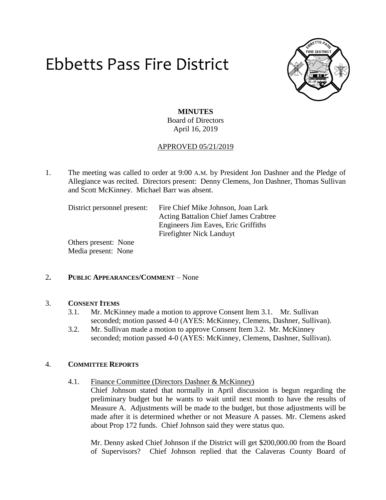# Ebbetts Pass Fire District



### **MINUTES** Board of Directors April 16, 2019

#### APPROVED 05/21/2019

1. The meeting was called to order at 9:00 A.M. by President Jon Dashner and the Pledge of Allegiance was recited. Directors present: Denny Clemens, Jon Dashner, Thomas Sullivan and Scott McKinney. Michael Barr was absent.

District personnel present: Fire Chief Mike Johnson, Joan Lark Acting Battalion Chief James Crabtree Engineers Jim Eaves, Eric Griffiths Firefighter Nick Landuyt

Others present: None Media present: None

#### 2**. PUBLIC APPEARANCES/COMMENT** – None

#### 3. **CONSENT ITEMS**

- 3.1. Mr. McKinney made a motion to approve Consent Item 3.1. Mr. Sullivan seconded; motion passed 4-0 (AYES: McKinney, Clemens, Dashner, Sullivan).
- 3.2. Mr. Sullivan made a motion to approve Consent Item 3.2. Mr. McKinney seconded; motion passed 4-0 (AYES: McKinney, Clemens, Dashner, Sullivan).

#### 4. **COMMITTEE REPORTS**

4.1. Finance Committee (Directors Dashner & McKinney)

Chief Johnson stated that normally in April discussion is begun regarding the preliminary budget but he wants to wait until next month to have the results of Measure A. Adjustments will be made to the budget, but those adjustments will be made after it is determined whether or not Measure A passes. Mr. Clemens asked about Prop 172 funds. Chief Johnson said they were status quo.

Mr. Denny asked Chief Johnson if the District will get \$200,000.00 from the Board of Supervisors? Chief Johnson replied that the Calaveras County Board of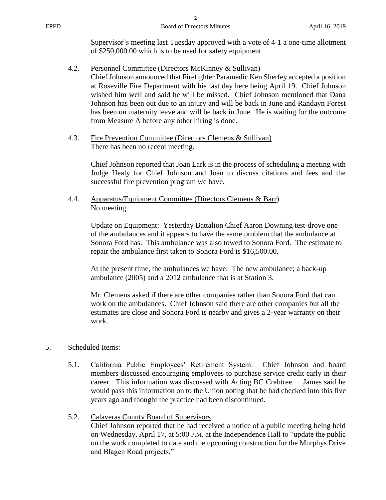| <b>EPFD</b> | <b>Board of Directors Minutes</b>                                                                                                                                                                                              | April 16, 2019 |
|-------------|--------------------------------------------------------------------------------------------------------------------------------------------------------------------------------------------------------------------------------|----------------|
|             | Supervisor's meeting last Tuesday approved with a vote of 4-1 a one-time allotment<br>of \$250,000.00 which is to be used for safety equipment.                                                                                |                |
| 4.2.        | Personnel Committee (Directors McKinney & Sullivan)<br>Chief Johnson announced that Firefighter Paramedic Ken Sherfey accepted a position<br>at Roseville Fire Department with his last day here being April 19. Chief Johnson |                |

at Roseville Fire Department with his last day here being April 19. Chief Johnson wished him well and said he will be missed. Chief Johnson mentioned that Dana Johnson has been out due to an injury and will be back in June and Randayn Forest has been on maternity leave and will be back in June. He is waiting for the outcome from Measure A before any other hiring is done.

4.3. Fire Prevention Committee (Directors Clemens & Sullivan) There has been no recent meeting.

> Chief Johnson reported that Joan Lark is in the process of scheduling a meeting with Judge Healy for Chief Johnson and Joan to discuss citations and fees and the successful fire prevention program we have.

4.4. Apparatus/Equipment Committee (Directors Clemens & Barr) No meeting.

> Update on Equipment: Yesterday Battalion Chief Aaron Downing test-drove one of the ambulances and it appears to have the same problem that the ambulance at Sonora Ford has. This ambulance was also towed to Sonora Ford. The estimate to repair the ambulance first taken to Sonora Ford is \$16,500.00.

At the present time, the ambulances we have: The new ambulance; a back-up ambulance (2005) and a 2012 ambulance that is at Station 3.

Mr. Clemens asked if there are other companies rather than Sonora Ford that can work on the ambulances. Chief Johnson said there are other companies but all the estimates are close and Sonora Ford is nearby and gives a 2-year warranty on their work.

#### 5. Scheduled Items:

- 5.1. California Public Employees' Retirement System: Chief Johnson and board members discussed encouraging employees to purchase service credit early in their career. This information was discussed with Acting BC Crabtree. James said he would pass this information on to the Union noting that he had checked into this five years ago and thought the practice had been discontinued.
- 5.2. Calaveras County Board of Supervisors Chief Johnson reported that he had received a notice of a public meeting being held on Wednesday, April 17, at 5:00 P.M. at the Independence Hall to "update the public on the work completed to date and the upcoming construction for the Murphys Drive and Blagen Road projects."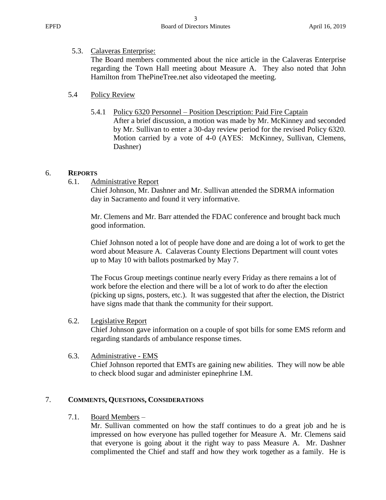## 5.3. Calaveras Enterprise:

The Board members commented about the nice article in the Calaveras Enterprise regarding the Town Hall meeting about Measure A. They also noted that John Hamilton from ThePineTree.net also videotaped the meeting.

### 5.4 Policy Review

#### 5.4.1 Policy 6320 Personnel – Position Description: Paid Fire Captain

After a brief discussion, a motion was made by Mr. McKinney and seconded by Mr. Sullivan to enter a 30-day review period for the revised Policy 6320. Motion carried by a vote of 4-0 (AYES: McKinney, Sullivan, Clemens, Dashner)

#### 6. **REPORTS**

6.1. Administrative Report

Chief Johnson, Mr. Dashner and Mr. Sullivan attended the SDRMA information day in Sacramento and found it very informative.

Mr. Clemens and Mr. Barr attended the FDAC conference and brought back much good information.

Chief Johnson noted a lot of people have done and are doing a lot of work to get the word about Measure A. Calaveras County Elections Department will count votes up to May 10 with ballots postmarked by May 7.

The Focus Group meetings continue nearly every Friday as there remains a lot of work before the election and there will be a lot of work to do after the election (picking up signs, posters, etc.). It was suggested that after the election, the District have signs made that thank the community for their support.

#### 6.2. Legislative Report

Chief Johnson gave information on a couple of spot bills for some EMS reform and regarding standards of ambulance response times.

#### 6.3. Administrative - EMS

Chief Johnson reported that EMTs are gaining new abilities. They will now be able to check blood sugar and administer epinephrine I.M.

# 7. **COMMENTS, QUESTIONS, CONSIDERATIONS**

#### 7.1. Board Members –

Mr. Sullivan commented on how the staff continues to do a great job and he is impressed on how everyone has pulled together for Measure A. Mr. Clemens said that everyone is going about it the right way to pass Measure A. Mr. Dashner complimented the Chief and staff and how they work together as a family. He is